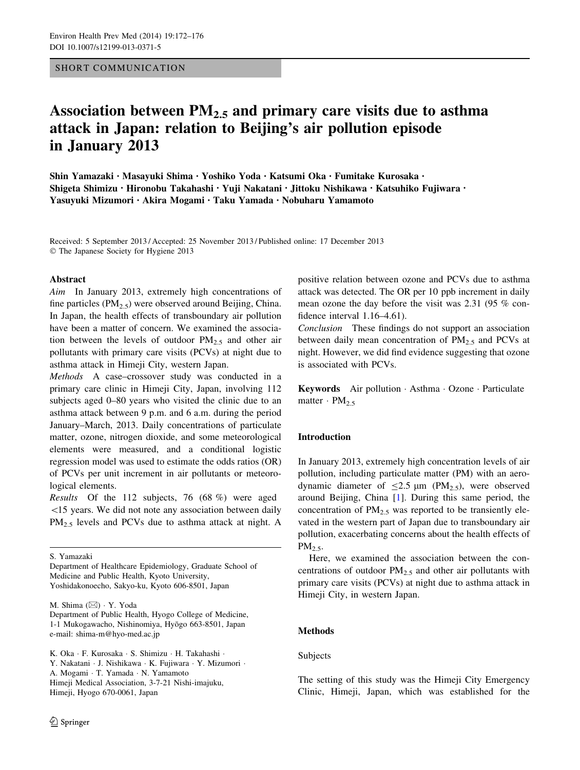## SHORT COMMUNICATION

# Association between  $PM<sub>2.5</sub>$  and primary care visits due to asthma attack in Japan: relation to Beijing's air pollution episode in January 2013

Shin Yamazaki • Masayuki Shima • Yoshiko Yoda • Katsumi Oka • Fumitake Kurosaka • Shigeta Shimizu • Hironobu Takahashi • Yuji Nakatani • Jittoku Nishikawa • Katsuhiko Fujiwara • Yasuyuki Mizumori • Akira Mogami • Taku Yamada • Nobuharu Yamamoto

Received: 5 September 2013 / Accepted: 25 November 2013 / Published online: 17 December 2013 - The Japanese Society for Hygiene 2013

#### Abstract

Aim In January 2013, extremely high concentrations of fine particles ( $PM<sub>2.5</sub>$ ) were observed around Beijing, China. In Japan, the health effects of transboundary air pollution have been a matter of concern. We examined the association between the levels of outdoor  $PM_{2.5}$  and other air pollutants with primary care visits (PCVs) at night due to asthma attack in Himeji City, western Japan.

Methods A case–crossover study was conducted in a primary care clinic in Himeji City, Japan, involving 112 subjects aged 0–80 years who visited the clinic due to an asthma attack between 9 p.m. and 6 a.m. during the period January–March, 2013. Daily concentrations of particulate matter, ozone, nitrogen dioxide, and some meteorological elements were measured, and a conditional logistic regression model was used to estimate the odds ratios (OR) of PCVs per unit increment in air pollutants or meteorological elements.

Results Of the 112 subjects, 76 (68 %) were aged \15 years. We did not note any association between daily  $PM_{2,5}$  levels and PCVs due to asthma attack at night. A

S. Yamazaki

M. Shima (⊠) · Y. Yoda

positive relation between ozone and PCVs due to asthma attack was detected. The OR per 10 ppb increment in daily mean ozone the day before the visit was 2.31 (95 % confidence interval 1.16–4.61).

Conclusion These findings do not support an association between daily mean concentration of  $PM<sub>2.5</sub>$  and PCVs at night. However, we did find evidence suggesting that ozone is associated with PCVs.

Keywords Air pollution - Asthma - Ozone - Particulate matter  $\cdot$  PM<sub>2.5</sub>

## Introduction

In January 2013, extremely high concentration levels of air pollution, including particulate matter (PM) with an aerodynamic diameter of  $\leq$ 2.5  $\mu$ m (PM<sub>2.5</sub>), were observed around Beijing, China [[1\]](#page-4-0). During this same period, the concentration of  $PM_{2.5}$  was reported to be transiently elevated in the western part of Japan due to transboundary air pollution, exacerbating concerns about the health effects of  $PM<sub>2.5</sub>$ .

Here, we examined the association between the concentrations of outdoor  $PM_{2.5}$  and other air pollutants with primary care visits (PCVs) at night due to asthma attack in Himeji City, in western Japan.

## Methods

#### Subjects

The setting of this study was the Himeji City Emergency Clinic, Himeji, Japan, which was established for the

Department of Healthcare Epidemiology, Graduate School of Medicine and Public Health, Kyoto University, Yoshidakonoecho, Sakyo-ku, Kyoto 606-8501, Japan

Department of Public Health, Hyogo College of Medicine, 1-1 Mukogawacho, Nishinomiya, Hyōgo 663-8501, Japan e-mail: shima-m@hyo-med.ac.jp

K. Oka · F. Kurosaka · S. Shimizu · H. Takahashi · Y. Nakatani · J. Nishikawa · K. Fujiwara · Y. Mizumori · A. Mogami - T. Yamada - N. Yamamoto Himeji Medical Association, 3-7-21 Nishi-imajuku, Himeji, Hyogo 670-0061, Japan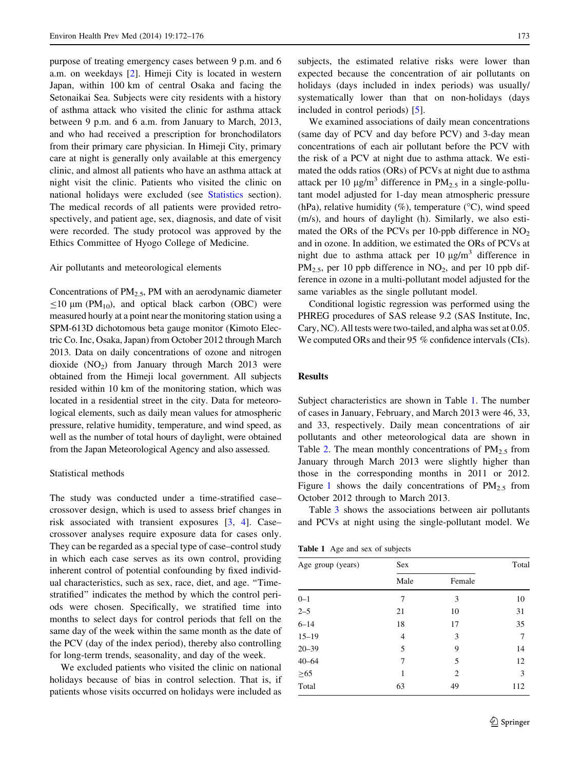purpose of treating emergency cases between 9 p.m. and 6 a.m. on weekdays [[2\]](#page-4-0). Himeji City is located in western Japan, within 100 km of central Osaka and facing the Setonaikai Sea. Subjects were city residents with a history of asthma attack who visited the clinic for asthma attack between 9 p.m. and 6 a.m. from January to March, 2013, and who had received a prescription for bronchodilators from their primary care physician. In Himeji City, primary care at night is generally only available at this emergency clinic, and almost all patients who have an asthma attack at night visit the clinic. Patients who visited the clinic on national holidays were excluded (see Statistics section). The medical records of all patients were provided retrospectively, and patient age, sex, diagnosis, and date of visit were recorded. The study protocol was approved by the Ethics Committee of Hyogo College of Medicine.

#### Air pollutants and meteorological elements

Concentrations of  $PM_{2.5}$ , PM with an aerodynamic diameter  $\leq$ 10 µm (PM<sub>10</sub>), and optical black carbon (OBC) were measured hourly at a point near the monitoring station using a SPM-613D dichotomous beta gauge monitor (Kimoto Electric Co. Inc, Osaka, Japan) from October 2012 through March 2013. Data on daily concentrations of ozone and nitrogen dioxide  $(NO<sub>2</sub>)$  from January through March 2013 were obtained from the Himeji local government. All subjects resided within 10 km of the monitoring station, which was located in a residential street in the city. Data for meteorological elements, such as daily mean values for atmospheric pressure, relative humidity, temperature, and wind speed, as well as the number of total hours of daylight, were obtained from the Japan Meteorological Agency and also assessed.

## Statistical methods

The study was conducted under a time-stratified case– crossover design, which is used to assess brief changes in risk associated with transient exposures [[3,](#page-4-0) [4\]](#page-4-0). Case– crossover analyses require exposure data for cases only. They can be regarded as a special type of case–control study in which each case serves as its own control, providing inherent control of potential confounding by fixed individual characteristics, such as sex, race, diet, and age. ''Timestratified'' indicates the method by which the control periods were chosen. Specifically, we stratified time into months to select days for control periods that fell on the same day of the week within the same month as the date of the PCV (day of the index period), thereby also controlling for long-term trends, seasonality, and day of the week.

We excluded patients who visited the clinic on national holidays because of bias in control selection. That is, if patients whose visits occurred on holidays were included as subjects, the estimated relative risks were lower than expected because the concentration of air pollutants on holidays (days included in index periods) was usually/ systematically lower than that on non-holidays (days included in control periods) [\[5](#page-4-0)].

We examined associations of daily mean concentrations (same day of PCV and day before PCV) and 3-day mean concentrations of each air pollutant before the PCV with the risk of a PCV at night due to asthma attack. We estimated the odds ratios (ORs) of PCVs at night due to asthma attack per 10  $\mu$ g/m<sup>3</sup> difference in PM<sub>2.5</sub> in a single-pollutant model adjusted for 1-day mean atmospheric pressure (hPa), relative humidity  $(\%)$ , temperature  $({}^{\circ}C)$ , wind speed (m/s), and hours of daylight (h). Similarly, we also estimated the ORs of the PCVs per 10-ppb difference in  $NO<sub>2</sub>$ and in ozone. In addition, we estimated the ORs of PCVs at night due to asthma attack per 10  $\mu$ g/m<sup>3</sup> difference in  $PM_{2.5}$ , per 10 ppb difference in  $NO_2$ , and per 10 ppb difference in ozone in a multi-pollutant model adjusted for the same variables as the single pollutant model.

Conditional logistic regression was performed using the PHREG procedures of SAS release 9.2 (SAS Institute, Inc, Cary, NC). All tests were two-tailed, and alpha was set at 0.05. We computed ORs and their 95 % confidence intervals (CIs).

#### Results

Subject characteristics are shown in Table 1. The number of cases in January, February, and March 2013 were 46, 33, and 33, respectively. Daily mean concentrations of air pollutants and other meteorological data are shown in Table [2](#page-2-0). The mean monthly concentrations of  $PM_{2.5}$  from January through March 2013 were slightly higher than those in the corresponding months in 2011 or 2012. Figure [1](#page-2-0) shows the daily concentrations of  $PM_{2.5}$  from October 2012 through to March 2013.

Table [3](#page-3-0) shows the associations between air pollutants and PCVs at night using the single-pollutant model. We

Table 1 Age and sex of subjects

| Age group (years) | Sex  |        | Total |  |  |
|-------------------|------|--------|-------|--|--|
|                   | Male | Female |       |  |  |
| $0 - 1$           | 7    | 3      | 10    |  |  |
| $2 - 5$           | 21   | 10     | 31    |  |  |
| $6 - 14$          | 18   | 17     | 35    |  |  |
| $15 - 19$         | 4    | 3      | 7     |  |  |
| $20 - 39$         | 5    | 9      | 14    |  |  |
| $40 - 64$         | 7    | 5      | 12    |  |  |
| $\geq 65$         | 1    | 2      | 3     |  |  |
| Total             | 63   | 49     | 112   |  |  |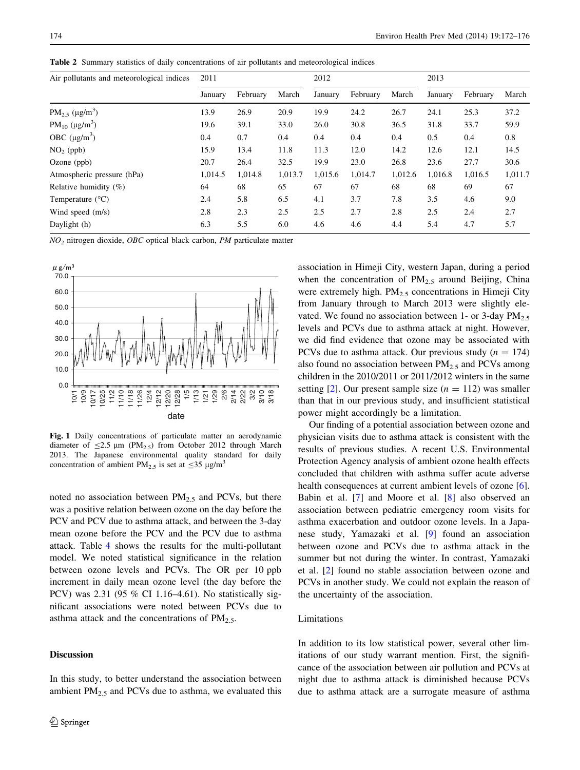<span id="page-2-0"></span>Table 2 Summary statistics of daily concentrations of air pollutants and meteorological indices

| Air pollutants and meteorological indices | 2011    |          |         | 2012    |          |         | 2013    |          |         |  |
|-------------------------------------------|---------|----------|---------|---------|----------|---------|---------|----------|---------|--|
|                                           | January | February | March   | January | February | March   | January | February | March   |  |
| $PM_{2.5}$ (µg/m <sup>3</sup> )           | 13.9    | 26.9     | 20.9    | 19.9    | 24.2     | 26.7    | 24.1    | 25.3     | 37.2    |  |
| $PM_{10} (\mu g/m^3)$                     | 19.6    | 39.1     | 33.0    | 26.0    | 30.8     | 36.5    | 31.8    | 33.7     | 59.9    |  |
| OBC $(\mu g/m^3)$                         | 0.4     | 0.7      | 0.4     | 0.4     | 0.4      | 0.4     | 0.5     | 0.4      | 0.8     |  |
| $NO2$ (ppb)                               | 15.9    | 13.4     | 11.8    | 11.3    | 12.0     | 14.2    | 12.6    | 12.1     | 14.5    |  |
| Ozone $(ppb)$                             | 20.7    | 26.4     | 32.5    | 19.9    | 23.0     | 26.8    | 23.6    | 27.7     | 30.6    |  |
| Atmospheric pressure (hPa)                | 1,014.5 | 1,014.8  | 1,013.7 | 1,015.6 | 1,014.7  | 1,012.6 | 1.016.8 | 1.016.5  | 1,011.7 |  |
| Relative humidity $(\%)$                  | 64      | 68       | 65      | 67      | 67       | 68      | 68      | 69       | 67      |  |
| Temperature $(^{\circ}C)$                 | 2.4     | 5.8      | 6.5     | 4.1     | 3.7      | 7.8     | 3.5     | 4.6      | 9.0     |  |
| Wind speed (m/s)                          | 2.8     | 2.3      | 2.5     | 2.5     | 2.7      | 2.8     | 2.5     | 2.4      | 2.7     |  |
| Daylight (h)                              | 6.3     | 5.5      | 6.0     | 4.6     | 4.6      | 4.4     | 5.4     | 4.7      | 5.7     |  |

 $NO<sub>2</sub>$  nitrogen dioxide, *OBC* optical black carbon, *PM* particulate matter



Fig. 1 Daily concentrations of particulate matter an aerodynamic diameter of  $\leq$ 2.5 µm (PM<sub>2.5</sub>) from October 2012 through March 2013. The Japanese environmental quality standard for daily concentration of ambient PM<sub>2.5</sub> is set at  $\leq$ 35 µg/m<sup>3</sup>

noted no association between  $PM<sub>2.5</sub>$  and PCVs, but there was a positive relation between ozone on the day before the PCV and PCV due to asthma attack, and between the 3-day mean ozone before the PCV and the PCV due to asthma attack. Table [4](#page-3-0) shows the results for the multi-pollutant model. We noted statistical significance in the relation between ozone levels and PCVs. The OR per 10 ppb increment in daily mean ozone level (the day before the PCV) was 2.31 (95 % CI 1.16–4.61). No statistically significant associations were noted between PCVs due to asthma attack and the concentrations of  $PM_{2.5}$ .

## Discussion

In this study, to better understand the association between ambient  $PM<sub>2.5</sub>$  and PCVs due to asthma, we evaluated this association in Himeji City, western Japan, during a period when the concentration of  $PM_{2.5}$  around Beijing, China were extremely high.  $PM_{2.5}$  concentrations in Himeji City from January through to March 2013 were slightly elevated. We found no association between 1- or 3-day  $PM_{2.5}$ levels and PCVs due to asthma attack at night. However, we did find evidence that ozone may be associated with PCVs due to asthma attack. Our previous study ( $n = 174$ ) also found no association between  $PM<sub>2.5</sub>$  and PCVs among children in the 2010/2011 or 2011/2012 winters in the same setting [\[2](#page-4-0)]. Our present sample size  $(n = 112)$  was smaller than that in our previous study, and insufficient statistical power might accordingly be a limitation.

Our finding of a potential association between ozone and physician visits due to asthma attack is consistent with the results of previous studies. A recent U.S. Environmental Protection Agency analysis of ambient ozone health effects concluded that children with asthma suffer acute adverse health consequences at current ambient levels of ozone [\[6](#page-4-0)]. Babin et al. [\[7](#page-4-0)] and Moore et al. [[8\]](#page-4-0) also observed an association between pediatric emergency room visits for asthma exacerbation and outdoor ozone levels. In a Japanese study, Yamazaki et al. [\[9](#page-4-0)] found an association between ozone and PCVs due to asthma attack in the summer but not during the winter. In contrast, Yamazaki et al. [[2\]](#page-4-0) found no stable association between ozone and PCVs in another study. We could not explain the reason of the uncertainty of the association.

## Limitations

In addition to its low statistical power, several other limitations of our study warrant mention. First, the significance of the association between air pollution and PCVs at night due to asthma attack is diminished because PCVs due to asthma attack are a surrogate measure of asthma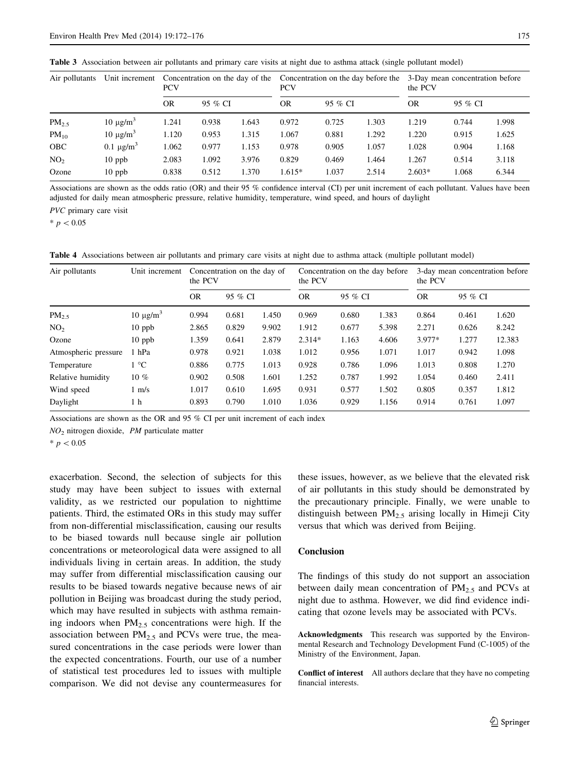<span id="page-3-0"></span>

|  | Table 3 Association between air pollutants and primary care visits at night due to asthma attack (single pollutant model) |  |  |  |  |  |  |  |  |  |  |  |  |  |  |
|--|---------------------------------------------------------------------------------------------------------------------------|--|--|--|--|--|--|--|--|--|--|--|--|--|--|
|--|---------------------------------------------------------------------------------------------------------------------------|--|--|--|--|--|--|--|--|--|--|--|--|--|--|

| Air pollutants  | Unit increment             | <b>PCV</b> |         |       | <b>PCV</b> |         |       | Concentration on the day of the Concentration on the day before the 3-Day mean concentration before<br>the PCV |         |       |  |
|-----------------|----------------------------|------------|---------|-------|------------|---------|-------|----------------------------------------------------------------------------------------------------------------|---------|-------|--|
|                 |                            | <b>OR</b>  | 95 % CI |       | OR         | 95 % CI |       | <b>OR</b>                                                                                                      | 95 % CI |       |  |
| $PM_{2.5}$      | $10 \mu g/m^3$             | 1.241      | 0.938   | 1.643 | 0.972      | 0.725   | 1.303 | 1.219                                                                                                          | 0.744   | 1.998 |  |
| $PM_{10}$       | $10 \mu g/m^3$             | 1.120      | 0.953   | 1.315 | 1.067      | 0.881   | 1.292 | 1.220                                                                                                          | 0.915   | 1.625 |  |
| <b>OBC</b>      | 0.1 $\mu$ g/m <sup>3</sup> | 1.062      | 0.977   | 1.153 | 0.978      | 0.905   | 1.057 | 1.028                                                                                                          | 0.904   | 1.168 |  |
| NO <sub>2</sub> | $10$ ppb                   | 2.083      | 1.092   | 3.976 | 0.829      | 0.469   | 1.464 | 1.267                                                                                                          | 0.514   | 3.118 |  |
| Ozone           | $10$ ppb                   | 0.838      | 0.512   | 1.370 | $1.615*$   | 1.037   | 2.514 | $2.603*$                                                                                                       | 1.068   | 6.344 |  |

Associations are shown as the odds ratio (OR) and their 95 % confidence interval (CI) per unit increment of each pollutant. Values have been adjusted for daily mean atmospheric pressure, relative humidity, temperature, wind speed, and hours of daylight

PVC primary care visit

 $* p < 0.05$ 

Table 4 Associations between air pollutants and primary care visits at night due to asthma attack (multiple pollutant model)

| Air pollutants       | Unit increment<br>10 $\mu$ g/m <sup>3</sup> | Concentration on the day of<br>the PCV |         |       | the PCV   |         | Concentration on the day before | 3-day mean concentration before<br>the PCV |         |        |  |
|----------------------|---------------------------------------------|----------------------------------------|---------|-------|-----------|---------|---------------------------------|--------------------------------------------|---------|--------|--|
|                      |                                             | <b>OR</b>                              | 95 % CI |       | <b>OR</b> | 95 % CI |                                 | <b>OR</b>                                  | 95 % CI |        |  |
| PM <sub>2.5</sub>    |                                             | 0.994                                  | 0.681   | 1.450 | 0.969     | 0.680   | 1.383                           | 0.864                                      | 0.461   | 1.620  |  |
| NO <sub>2</sub>      | $10$ ppb                                    | 2.865                                  | 0.829   | 9.902 | 1.912     | 0.677   | 5.398                           | 2.271                                      | 0.626   | 8.242  |  |
| Ozone                | $10$ ppb                                    | 1.359                                  | 0.641   | 2.879 | $2.314*$  | 1.163   | 4.606                           | 3.977*                                     | 1.277   | 12.383 |  |
| Atmospheric pressure | 1 hPa                                       | 0.978                                  | 0.921   | 1.038 | 1.012     | 0.956   | 1.071                           | 1.017                                      | 0.942   | 1.098  |  |
| Temperature          | 1 °C                                        | 0.886                                  | 0.775   | 1.013 | 0.928     | 0.786   | 1.096                           | 1.013                                      | 0.808   | 1.270  |  |
| Relative humidity    | $10\%$                                      | 0.902                                  | 0.508   | 1.601 | 1.252     | 0.787   | 1.992                           | 1.054                                      | 0.460   | 2.411  |  |
| Wind speed           | $1 \text{ m/s}$                             | 1.017                                  | 0.610   | 1.695 | 0.931     | 0.577   | 1.502                           | 0.805                                      | 0.357   | 1.812  |  |
| Daylight             | 1 h                                         | 0.893                                  | 0.790   | 1.010 | 1.036     | 0.929   | 1.156                           | 0.914                                      | 0.761   | 1.097  |  |

Associations are shown as the OR and 95 % CI per unit increment of each index

 $NO<sub>2</sub>$  nitrogen dioxide, PM particulate matter

 $* p < 0.05$ 

exacerbation. Second, the selection of subjects for this study may have been subject to issues with external validity, as we restricted our population to nighttime patients. Third, the estimated ORs in this study may suffer from non-differential misclassification, causing our results to be biased towards null because single air pollution concentrations or meteorological data were assigned to all individuals living in certain areas. In addition, the study may suffer from differential misclassification causing our results to be biased towards negative because news of air pollution in Beijing was broadcast during the study period, which may have resulted in subjects with asthma remaining indoors when  $PM<sub>2.5</sub>$  concentrations were high. If the association between  $PM_{2.5}$  and PCVs were true, the measured concentrations in the case periods were lower than the expected concentrations. Fourth, our use of a number of statistical test procedures led to issues with multiple comparison. We did not devise any countermeasures for these issues, however, as we believe that the elevated risk of air pollutants in this study should be demonstrated by the precautionary principle. Finally, we were unable to distinguish between  $PM_{2.5}$  arising locally in Himeji City versus that which was derived from Beijing.

#### Conclusion

The findings of this study do not support an association between daily mean concentration of  $PM_{2.5}$  and PCVs at night due to asthma. However, we did find evidence indicating that ozone levels may be associated with PCVs.

Acknowledgments This research was supported by the Environmental Research and Technology Development Fund (C-1005) of the Ministry of the Environment, Japan.

Conflict of interest All authors declare that they have no competing financial interests.